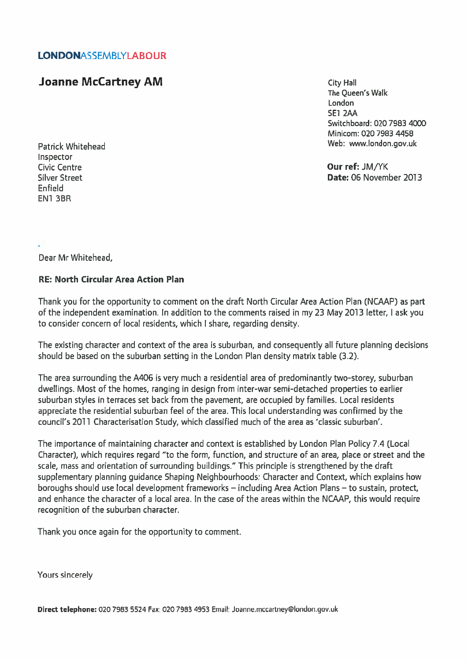## LONDONASSEMBLYLABOUR

## **Joanne McCartney AM City Hall**

The Queen's Walk London **SE1 2AA** Switchboard: 020 7983 4000 Minicom: 020 7983 4458 Patrick Whitehead News, 2008 and 2009 and 2009 with the Web: www.london.gov.uk

Silver Street Date: 06 November 2013

Inspector Civic Centre Our ref: JM/YK Enfield EN1 3BR

Dear Mr Whitehead,

## RE: North Circular Area Action Plan

Thank you for the opportunity to comment on the draft North Circular Area Action Plan (NCAAP) as part of the independent examination. In addition to the comments raised in my 23 May2013 letter, I ask you to consider concern of local residents, which I share, regarding density.

The existing character and context of the area is suburban, and consequently all future planning decisions should be based on the suburban setting in the London Plan density matrix table (3.2).

The area surrounding the A406 is very much <sup>a</sup> residential area of predominantly two-storey, suburban dwellings. Most of the homes, ranging in design from inter-war semi-detached properties to earlier suburban styles in terraces set back from the pavement, are occupied by families. Local residents appreciate the residential suburban feel of the area. This local understanding was confirmed by the council's 2011 Characterisation Study, which classified much of the area as 'classic suburban'.

The importance of maintaining character and context is established by London Plan Policy 7.4 (Local Character), which requires regard "to the form, function, and structure of an area, place or street and the scale, mass and orientation of surrounding buildings." This principle is strengthened by the draft supplementary planning guidance Shaping Neighbourhoods: Character and Context, which explains how boroughs should use local development frameworks — including Area Action Plans — to sustain, protect, and enhance the character of <sup>a</sup> local area. In the case of the areas within the NCAAP, this would require recognition of the suburban character.

Thank you once again for the opportunity to comment.

Yours sincerely

Direct telephone: 020 7983 5524 Fax: 020 7983 4953 Email: Joanne.mccartney@london.gov.uk